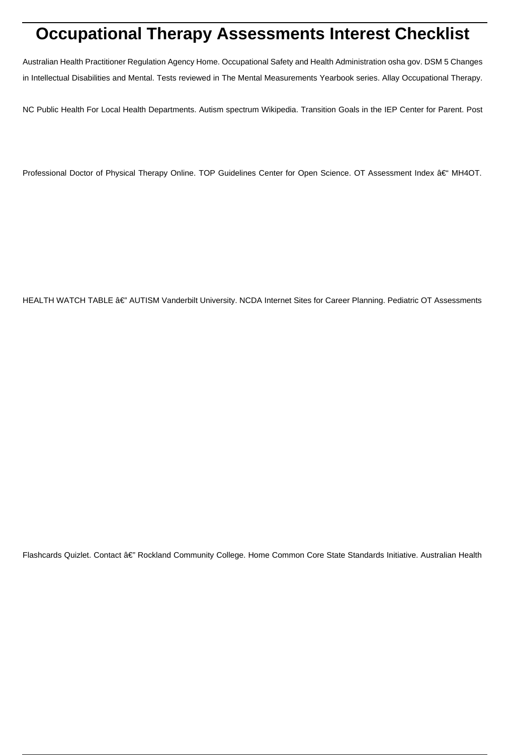# **Occupational Therapy Assessments Interest Checklist**

Australian Health Practitioner Regulation Agency Home. Occupational Safety and Health Administration osha gov. DSM 5 Changes in Intellectual Disabilities and Mental. Tests reviewed in The Mental Measurements Yearbook series. Allay Occupational Therapy.

NC Public Health For Local Health Departments. Autism spectrum Wikipedia. Transition Goals in the IEP Center for Parent. Post

Professional Doctor of Physical Therapy Online. TOP Guidelines Center for Open Science. OT Assessment Index – MH4OT.

HEALTH WATCH TABLE â€" AUTISM Vanderbilt University. NCDA Internet Sites for Career Planning. Pediatric OT Assessments

Flashcards Quizlet. Contact â€" Rockland Community College. Home Common Core State Standards Initiative. Australian Health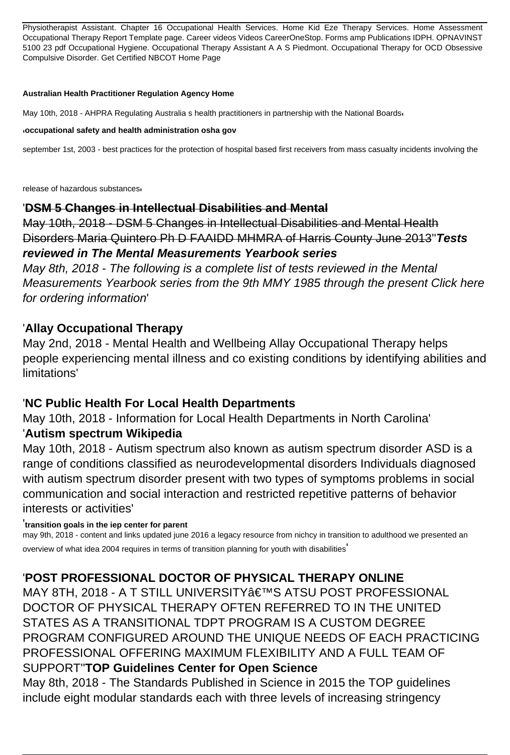Physiotherapist Assistant. Chapter 16 Occupational Health Services. Home Kid Eze Therapy Services. Home Assessment Occupational Therapy Report Template page. Career videos Videos CareerOneStop. Forms amp Publications IDPH. OPNAVINST 5100 23 pdf Occupational Hygiene. Occupational Therapy Assistant A A S Piedmont. Occupational Therapy for OCD Obsessive Compulsive Disorder. Get Certified NBCOT Home Page

#### **Australian Health Practitioner Regulation Agency Home**

May 10th, 2018 - AHPRA Regulating Australia s health practitioners in partnership with the National Boards

#### '**occupational safety and health administration osha gov**

september 1st, 2003 - best practices for the protection of hospital based first receivers from mass casualty incidents involving the

release of hazardous substances'

## '**DSM 5 Changes in Intellectual Disabilities and Mental**

May 10th, 2018 - DSM 5 Changes in Intellectual Disabilities and Mental Health Disorders Maria Quintero Ph D FAAIDD MHMRA of Harris County June 2013''**Tests reviewed in The Mental Measurements Yearbook series**

May 8th, 2018 - The following is a complete list of tests reviewed in the Mental Measurements Yearbook series from the 9th MMY 1985 through the present Click here for ordering information'

# '**Allay Occupational Therapy**

May 2nd, 2018 - Mental Health and Wellbeing Allay Occupational Therapy helps people experiencing mental illness and co existing conditions by identifying abilities and limitations'

# '**NC Public Health For Local Health Departments**

May 10th, 2018 - Information for Local Health Departments in North Carolina'

# '**Autism spectrum Wikipedia**

May 10th, 2018 - Autism spectrum also known as autism spectrum disorder ASD is a range of conditions classified as neurodevelopmental disorders Individuals diagnosed with autism spectrum disorder present with two types of symptoms problems in social communication and social interaction and restricted repetitive patterns of behavior interests or activities'

#### '**transition goals in the iep center for parent**

may 9th, 2018 - content and links updated june 2016 a legacy resource from nichcy in transition to adulthood we presented an overview of what idea 2004 requires in terms of transition planning for youth with disabilities'

# '**POST PROFESSIONAL DOCTOR OF PHYSICAL THERAPY ONLINE**

MAY 8TH, 2018 - A T STILL UNIVERSITY'S ATSU POST PROFESSIONAL DOCTOR OF PHYSICAL THERAPY OFTEN REFERRED TO IN THE UNITED STATES AS A TRANSITIONAL TDPT PROGRAM IS A CUSTOM DEGREE PROGRAM CONFIGURED AROUND THE UNIQUE NEEDS OF EACH PRACTICING PROFESSIONAL OFFERING MAXIMUM FLEXIBILITY AND A FULL TEAM OF SUPPORT''**TOP Guidelines Center for Open Science**

May 8th, 2018 - The Standards Published in Science in 2015 the TOP guidelines include eight modular standards each with three levels of increasing stringency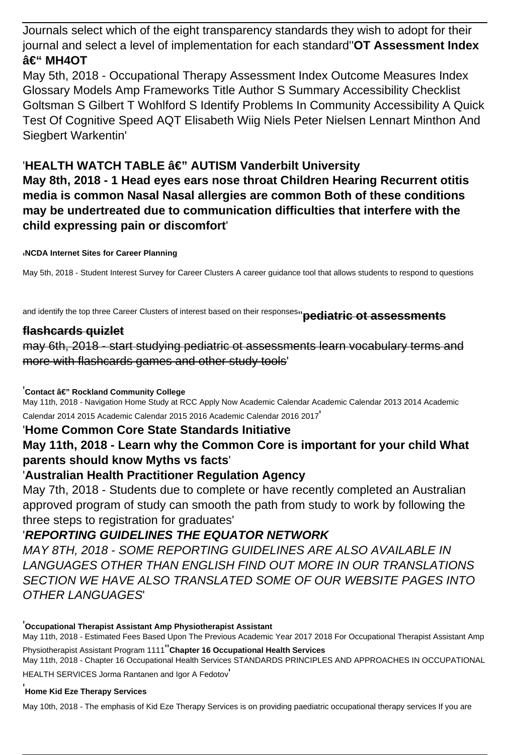Journals select which of the eight transparency standards they wish to adopt for their journal and select a level of implementation for each standard''**OT Assessment Index** – MH4OT

May 5th, 2018 - Occupational Therapy Assessment Index Outcome Measures Index Glossary Models Amp Frameworks Title Author S Summary Accessibility Checklist Goltsman S Gilbert T Wohlford S Identify Problems In Community Accessibility A Quick Test Of Cognitive Speed AQT Elisabeth Wiig Niels Peter Nielsen Lennart Minthon And Siegbert Warkentin'

# 'HEALTH WATCH TABLE â€" AUTISM Vanderbilt University

**May 8th, 2018 - 1 Head eyes ears nose throat Children Hearing Recurrent otitis media is common Nasal Nasal allergies are common Both of these conditions may be undertreated due to communication difficulties that interfere with the child expressing pain or discomfort**'

#### '**NCDA Internet Sites for Career Planning**

May 5th, 2018 - Student Interest Survey for Career Clusters A career guidance tool that allows students to respond to questions

and identify the top three Career Clusters of interest based on their responses''**pediatric ot assessments**

#### **flashcards quizlet**

may 6th, 2018 - start studying pediatric ot assessments learn vocabulary terms and more with flashcards games and other study tools'

#### <sup>'</sup>Contact â€" Rockland Community College

May 11th, 2018 - Navigation Home Study at RCC Apply Now Academic Calendar Academic Calendar 2013 2014 Academic Calendar 2014 2015 Academic Calendar 2015 2016 Academic Calendar 2016 2017'

### '**Home Common Core State Standards Initiative**

# **May 11th, 2018 - Learn why the Common Core is important for your child What parents should know Myths vs facts**'

# '**Australian Health Practitioner Regulation Agency**

May 7th, 2018 - Students due to complete or have recently completed an Australian approved program of study can smooth the path from study to work by following the three steps to registration for graduates'

# '**REPORTING GUIDELINES THE EQUATOR NETWORK**

MAY 8TH, 2018 - SOME REPORTING GUIDELINES ARE ALSO AVAILABLE IN LANGUAGES OTHER THAN ENGLISH FIND OUT MORE IN OUR TRANSLATIONS SECTION WE HAVE ALSO TRANSLATED SOME OF OUR WEBSITE PAGES INTO OTHER LANGUAGES'

#### '**Occupational Therapist Assistant Amp Physiotherapist Assistant**

May 11th, 2018 - Estimated Fees Based Upon The Previous Academic Year 2017 2018 For Occupational Therapist Assistant Amp

Physiotherapist Assistant Program 1111''**Chapter 16 Occupational Health Services** May 11th, 2018 - Chapter 16 Occupational Health Services STANDARDS PRINCIPLES AND APPROACHES IN OCCUPATIONAL HEALTH SERVICES Jorma Rantanen and Igor A Fedotov'

#### '**Home Kid Eze Therapy Services**

May 10th, 2018 - The emphasis of Kid Eze Therapy Services is on providing paediatric occupational therapy services If you are